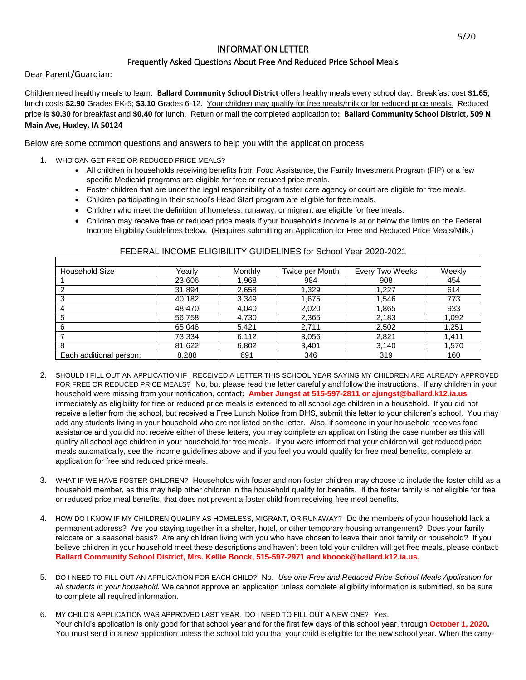## INFORMATION LETTER

## Frequently Asked Questions About Free And Reduced Price School Meals

Dear Parent/Guardian:

Children need healthy meals to learn. **Ballard Community School District** offers healthy meals every school day. Breakfast cost **\$1.65**; lunch costs **\$2.90** Grades EK-5; **\$3.10** Grades 6-12. Your children may qualify for free meals/milk or for reduced price meals. Reduced price is **\$0.30** for breakfast and **\$0.40** for lunch. Return or mail the completed application to**: Ballard Community School District, 509 N Main Ave, Huxley, IA 50124**

Below are some common questions and answers to help you with the application process.

- 1. WHO CAN GET FREE OR REDUCED PRICE MEALS?
	- All children in households receiving benefits from Food Assistance, the Family Investment Program (FIP) or a few specific Medicaid programs are eligible for free or reduced price meals.
	- Foster children that are under the legal responsibility of a foster care agency or court are eligible for free meals.
	- Children participating in their school's Head Start program are eligible for free meals.
	- Children who meet the definition of homeless, runaway, or migrant are eligible for free meals.
	- Children may receive free or reduced price meals if your household's income is at or below the limits on the Federal Income Eligibility Guidelines below. (Requires submitting an Application for Free and Reduced Price Meals/Milk.)

| <b>Household Size</b>   | Yearlv | Monthly | Twice per Month | Every Two Weeks | Weekly |
|-------------------------|--------|---------|-----------------|-----------------|--------|
|                         | 23,606 | 1,968   | 984             | 908             | 454    |
| ◠                       | 31,894 | 2,658   | 1,329           | 1,227           | 614    |
|                         | 40,182 | 3,349   | 1,675           | 1,546           | 773    |
|                         | 48,470 | 4,040   | 2,020           | 1,865           | 933    |
| 5                       | 56,758 | 4,730   | 2,365           | 2,183           | 1,092  |
| 6                       | 65,046 | 5,421   | 2,711           | 2,502           | 1,251  |
|                         | 73,334 | 6,112   | 3,056           | 2,821           | 1,411  |
| 8                       | 81,622 | 6,802   | 3,401           | 3,140           | 1,570  |
| Each additional person: | 8,288  | 691     | 346             | 319             | 160    |

## FEDERAL INCOME ELIGIBILITY GUIDELINES for School Year 2020-2021

- 2. SHOULD I FILL OUT AN APPLICATION IF I RECEIVED A LETTER THIS SCHOOL YEAR SAYING MY CHILDREN ARE ALREADY APPROVED FOR FREE OR REDUCED PRICE MEALS? No, but please read the letter carefully and follow the instructions. If any children in your household were missing from your notification, contact**: Amber Jungst at 515-597-2811 or ajungst@ballard.k12.ia.us** immediately as eligibility for free or reduced price meals is extended to all school age children in a household. If you did not receive a letter from the school, but received a Free Lunch Notice from DHS, submit this letter to your children's school. You may add any students living in your household who are not listed on the letter. Also, if someone in your household receives food assistance and you did not receive either of these letters, you may complete an application listing the case number as this will qualify all school age children in your household for free meals. If you were informed that your children will get reduced price meals automatically, see the income guidelines above and if you feel you would qualify for free meal benefits, complete an application for free and reduced price meals.
- 3. WHAT IF WE HAVE FOSTER CHILDREN? Households with foster and non-foster children may choose to include the foster child as a household member, as this may help other children in the household qualify for benefits. If the foster family is not eligible for free or reduced price meal benefits, that does not prevent a foster child from receiving free meal benefits.
- 4. HOW DO I KNOW IF MY CHILDREN QUALIFY AS HOMELESS, MIGRANT, OR RUNAWAY? Do the members of your household lack a permanent address? Are you staying together in a shelter, hotel, or other temporary housing arrangement? Does your family relocate on a seasonal basis? Are any children living with you who have chosen to leave their prior family or household? If you believe children in your household meet these descriptions and haven't been told your children will get free meals, please contact: **Ballard Community School District, Mrs. Kellie Boock, 515-597-2971 and kboock@ballard.k12.ia.us.**
- 5. DO I NEED TO FILL OUT AN APPLICATION FOR EACH CHILD?No.*Use one Free and Reduced Price School Meals Application for all students in your household.* We cannot approve an application unless complete eligibility information is submitted, so be sure to complete all required information.
- 6. MY CHILD'S APPLICATION WAS APPROVED LAST YEAR. DO I NEED TO FILL OUT A NEW ONE? Yes. Your child's application is only good for that school year and for the first few days of this school year, through **October 1, 2020.**  You must send in a new application unless the school told you that your child is eligible for the new school year. When the carry-